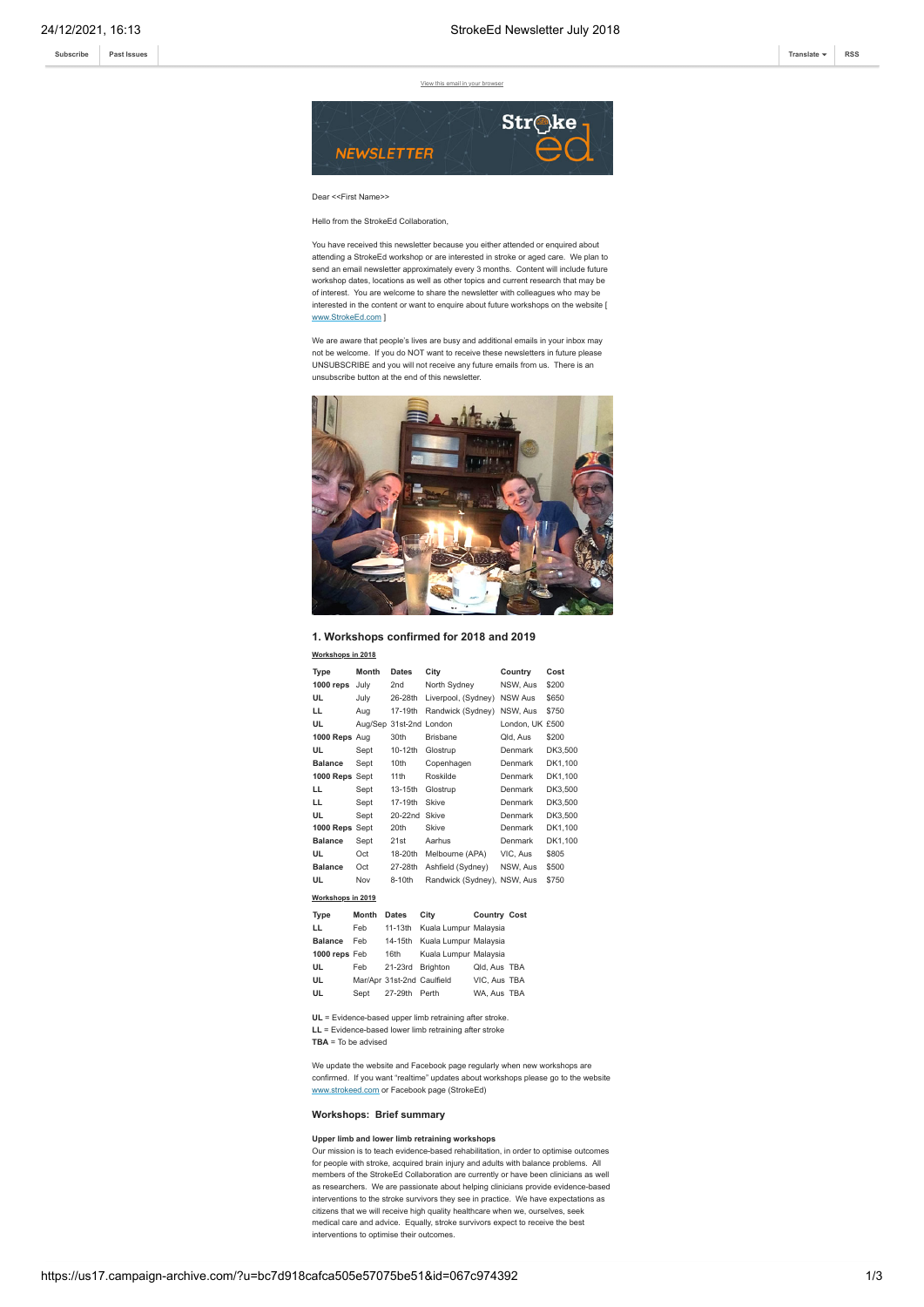**[Subscribe](http://eepurl.com/dALkcT) [Past Issues](https://us17.campaign-archive.com/home/?u=bc7d918cafca505e57075be51&id=1c918590b8) [Translate](javascript:;) [RSS](https://us17.campaign-archive.com/feed?u=bc7d918cafca505e57075be51&id=1c918590b8)**

[View this email in your browser](https://mailchi.mp/0598a80134ec/strokeed-newsletter-july-304657?e=[UNIQID])



# Dear <<First Name>>

Hello from the StrokeEd Collaboration,

You have received this newsletter because you either attended or enquired about attending a StrokeEd workshop or are interested in stroke or aged care. We plan to send an email newsletter approximately every 3 months. Content will include future workshop dates, locations as well as other topics and current research that may be of interest. You are welcome to share the newsletter with colleagues who may be interested in the content or want to enquire about future workshops on the website [ [www.StrokeEd.com](http://www.strokeed.com/) ]

We are aware that people's lives are busy and additional emails in your inbox may not be welcome. If you do NOT want to receive these newsletters in future please UNSUBSCRIBE and you will not receive any future emails from us. There is an unsubscribe button at the end of this newsletter.



**1. Workshops confirmed for 2018 and 2019**

### **Workshops in 2018**

|                   | Type           | Month | <b>Dates</b>               | City                        |  | Country         | Cost    |
|-------------------|----------------|-------|----------------------------|-----------------------------|--|-----------------|---------|
|                   | $1000$ reps    | July  | 2nd                        | North Sydney                |  | NSW. Aus        | \$200   |
|                   | UL             | July  | 26-28th                    | Liverpool, (Sydney)         |  | NSW Aus         | \$650   |
|                   | LL.            | Aug   | 17-19th                    | Randwick (Sydney)           |  | NSW, Aus        | \$750   |
|                   | UL             |       | Aug/Sep 31st-2nd London    |                             |  | London, UK £500 |         |
|                   | 1000 Reps Aug  |       | 30th                       | <b>Brisbane</b>             |  | Qld. Aus        | \$200   |
|                   | UL             | Sept  | 10-12th                    | Glostrup                    |  | Denmark         | DK3.500 |
|                   | <b>Balance</b> | Sept  | 10th                       | Copenhagen                  |  | Denmark         | DK1,100 |
|                   | 1000 Reps Sept |       | 11 <sup>th</sup>           | Roskilde                    |  | Denmark         | DK1,100 |
|                   | LL             | Sept  | 13-15th                    | Glostrup                    |  | Denmark         | DK3.500 |
|                   | LL             | Sept  | 17-19th                    | Skive                       |  | Denmark         | DK3,500 |
|                   | UL             | Sept  | $20-22nd$                  | Skive                       |  | Denmark         | DK3,500 |
|                   | 1000 Reps Sept |       | 20th                       | Skive                       |  | Denmark         | DK1.100 |
|                   | <b>Balance</b> | Sept  | 21st                       | Aarhus                      |  | Denmark         | DK1.100 |
|                   | UL             | Oct   | 18-20th                    | Melbourne (APA)             |  | VIC, Aus        | \$805   |
|                   | <b>Balance</b> | Oct   | 27-28th                    | Ashfield (Sydney)           |  | NSW, Aus        | \$500   |
|                   | UL             | Nov   | 8-10th                     | Randwick (Sydney), NSW, Aus |  |                 | \$750   |
| Workshops in 2019 |                |       |                            |                             |  |                 |         |
|                   | <b>Type</b>    | Month | <b>Dates</b>               | City                        |  | Country Cost    |         |
|                   | LL             | Feb   | 11-13th                    | Kuala Lumpur Malaysia       |  |                 |         |
|                   | <b>Balance</b> | Feb   | 14-15th                    | Kuala Lumpur Malaysia       |  |                 |         |
|                   | 1000 reps Feb  |       | 16th                       | Kuala Lumpur Malaysia       |  |                 |         |
|                   | UL             | Feb   | 21-23rd                    | Brighton                    |  | Qld, Aus TBA    |         |
|                   | UL             |       | Mar/Apr 31st-2nd Caulfield |                             |  | VIC, Aus TBA    |         |
|                   | UL             | Sept  | 27-29th                    | Perth                       |  | WA. Aus TBA     |         |
|                   |                |       |                            |                             |  |                 |         |

**UL** = Evidence-based upper limb retraining after stroke. **LL** = Evidence-based lower limb retraining after stroke **TBA** = To be advised

We update the website and Facebook page regularly when new workshops are confirmed. If you want "realtime" updates about workshops please go to the website [www.strokeed.com](http://www.strokeed.com/) or Facebook page (StrokeEd)

## **Workshops: Brief summary**

## **Upper limb and lower limb retraining workshops**

Our mission is to teach evidence-based rehabilitation, in order to optimise outcomes for people with stroke, acquired brain injury and adults with balance problems. All members of the StrokeEd Collaboration are currently or have been clinicians as well as researchers. We are passionate about helping clinicians provide evidence-based interventions to the stroke survivors they see in practice. We have expectations as citizens that we will receive high quality healthcare when we, ourselves, seek medical care and advice. Equally, stroke survivors expect to receive the best interventions to optimise their outcomes.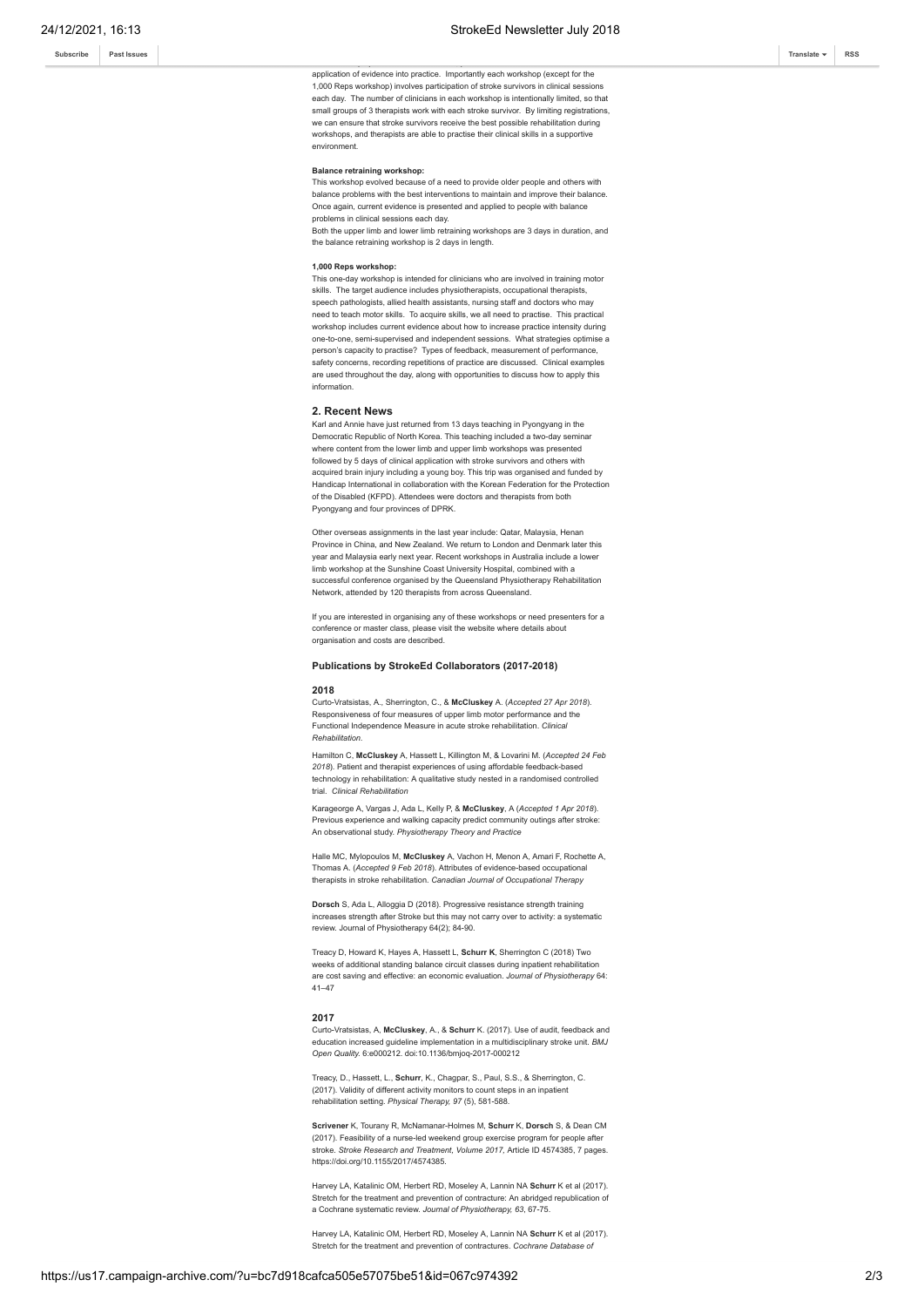application of evidence into practice. Importantly each workshop (except for the 1,000 Reps workshop) involves participation of stroke survivors in clinical sessions each day. The number of clinicians in each workshop is intentionally limited, so that small groups of 3 therapists work with each stroke survivor. By limiting registrations we can ensure that stroke survivors receive the best possible rehabilitation during workshops, and therapists are able to practise their clinical skills in a supportive environment.

The workshops provide current evidence, practical exercises and discussion about

# **Balance retraining workshop:**

This workshop evolved because of a need to provide older people and others with balance problems with the best interventions to maintain and improve their balance. Once again, current evidence is presented and applied to people with balance problems in clinical sessions each day.

Both the upper limb and lower limb retraining workshops are 3 days in duration, and the balance retraining workshop is 2 days in length.

## **1,000 Reps workshop:**

This one-day workshop is intended for clinicians who are involved in training motor skills. The target audience includes physiotherapists, occupational therapists, speech pathologists, allied health assistants, nursing staff and doctors who may need to teach motor skills. To acquire skills, we all need to practise. This practical workshop includes current evidence about how to increase practice intensity during one-to-one, semi-supervised and independent sessions. What strategies optimise a person's capacity to practise? Types of feedback, measurement of performance, safety concerns, recording repetitions of practice are discussed. Clinical examples are used throughout the day, along with opportunities to discuss how to apply this information.

#### **2. Recent News**

Karl and Annie have just returned from 13 days teaching in Pyongyang in the Democratic Republic of North Korea. This teaching included a two-day seminar where content from the lower limb and upper limb workshops was presented followed by 5 days of clinical application with stroke survivors and others with acquired brain injury including a young boy. This trip was organised and funded by Handicap International in collaboration with the Korean Federation for the Protection of the Disabled (KFPD). Attendees were doctors and therapists from both Pyongyang and four provinces of DPRK.

Other overseas assignments in the last year include: Qatar, Malaysia, Henan Province in China, and New Zealand. We return to London and Denmark later this year and Malaysia early next year. Recent workshops in Australia include a lower limb workshop at the Sunshine Coast University Hospital, combined with a successful conference organised by the Queensland Physiotherapy Rehabilitation Network, attended by 120 therapists from across Queensland.

If you are interested in organising any of these workshops or need presenters for a conference or master class, please visit the website where details about organisation and costs are described.

#### **Publications by StrokeEd Collaborators (2017-2018)**

#### **2018**

Curto-Vratsistas, A., Sherrington, C., & **McCluskey** A. (*Accepted 27 Apr 2018*). Responsiveness of four measures of upper limb motor performance and the Functional Independence Measure in acute stroke rehabilitation. *Clinical Rehabilitation.*

Hamilton C, **McCluskey** A, Hassett L, Killington M, & Lovarini M. (*Accepted 24 Feb 2018*). Patient and therapist experiences of using affordable feedback-based technology in rehabilitation: A qualitative study nested in a randomised controlled trial. *Clinical Rehabilitation*

Karageorge A, Vargas J, Ada L, Kelly P, & **McCluskey**, A (*Accepted 1 Apr 2018*). Previous experience and walking capacity predict community outings after stroke: An observational study. *Physiotherapy Theory and Practice*

Halle MC, Mylopoulos M, **McCluskey** A, Vachon H, Menon A, Amari F, Rochette A, Thomas A. (*Accepted 9 Feb 2018*). Attributes of evidence-based occupational therapists in stroke rehabilitation. *Canadian Journal of Occupational Therapy*

**Dorsch** S, Ada L, Alloggia D (2018). Progressive resistance strength training increases strength after Stroke but this may not carry over to activity: a systematic review. Journal of Physiotherapy 64(2); 84-90.

Treacy D, Howard K, Hayes A, Hassett L, **Schurr K**, Sherrington C (2018) Two weeks of additional standing balance circuit classes during inpatient rehabilitation are cost saving and effective: an economic evaluation. *Journal of Physiotherapy* 64: 41–47

#### **2017**

Curto-Vratsistas, A, **McCluskey**, A., & **Schurr** K. (2017). Use of audit, feedback and education increased guideline implementation in a multidisciplinary stroke unit. *BMJ Open Quality.* 6:e000212. doi:10.1136/bmjoq-2017-000212

Treacy, D., Hassett, L., **Schurr**, K., Chagpar, S., Paul, S.S., & Sherrington, C. (2017). Validity of different activity monitors to count steps in an inpatient rehabilitation setting. *Physical Therapy, 97* (5), 581-588.

**Scrivener** K, Tourany R, McNamanar-Holmes M, **Schurr** K, **Dorsch** S, & Dean CM (2017). Feasibility of a nurse-led weekend group exercise program for people after stroke. *Stroke Research and Treatment, Volume 2017,* Article ID 4574385, 7 pages. https://doi.org/10.1155/2017/4574385.

Harvey LA, Katalinic OM, Herbert RD, Moseley A, Lannin NA **Schurr** K et al (2017). Stretch for the treatment and prevention of contracture: An abridged republication of a Cochrane systematic review. *Journal of Physiotherapy, 63*, 67-75.

Harvey LA, Katalinic OM, Herbert RD, Moseley A, Lannin NA **Schurr** K et al (2017). Stretch for the treatment and prevention of contractures. *Cochrane Database of*